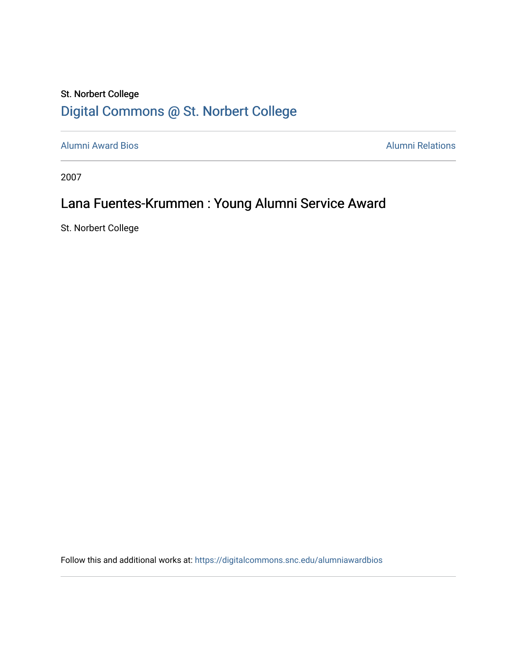## St. Norbert College [Digital Commons @ St. Norbert College](https://digitalcommons.snc.edu/)

[Alumni Award Bios](https://digitalcommons.snc.edu/alumniawardbios) **Alumni Relations** Alumni Relations

2007

## Lana Fuentes-Krummen : Young Alumni Service Award

St. Norbert College

Follow this and additional works at: [https://digitalcommons.snc.edu/alumniawardbios](https://digitalcommons.snc.edu/alumniawardbios?utm_source=digitalcommons.snc.edu%2Falumniawardbios%2F41&utm_medium=PDF&utm_campaign=PDFCoverPages)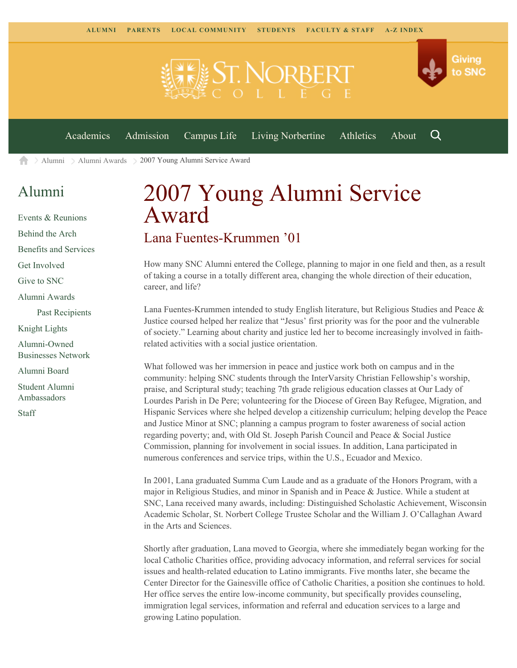

[Academics](https://www.snc.edu/academics) [Admission](https://www.snc.edu/admission) [Campus Life](https://www.snc.edu/campuslife) [Living Norbertine](https://www.snc.edu/livingnorbertine) [Athletics](https://www.snc.edu/athletics) [About](https://www.snc.edu/about)

Q

[Alumni](https://www.snc.edu/alumni/) [Alumni Awards](https://www.snc.edu/alumni/awards/) 2007 Young Alumni Service Award A

## [Alumni](https://www.snc.edu/alumni/index.html)

[Events & Reunions](https://www.snc.edu/alumni/event/index.html) [Behind the Arch](https://www.snc.edu/alumni/event/behindthearch/) [Benefits and Services](https://www.snc.edu/alumni/benefits.html) [Get Involved](https://www.snc.edu/alumni/getinvolved.html) [Give to SNC](http://giving.snc.edu/) [Alumni Awards](https://www.snc.edu/alumni/awards/index.html) [Past Recipients](https://www.snc.edu/alumni/awards/recipients.html) [Knight Lights](https://www.snc.edu/alumni/knightlights/index.html) [Alumni-Owned](https://www.snc.edu/alumni/directory/index.html) [Businesses Network](https://www.snc.edu/alumni/directory/index.html) [Alumni Board](https://www.snc.edu/alumni/alumniboard.html) [Student Alumni](https://www.snc.edu/alumni/saa.html) [Ambassadors](https://www.snc.edu/alumni/saa.html) [Staff](https://www.snc.edu/alumni/contactus.html)

## 2007 Young Alumni Service Award Lana Fuentes-Krummen '01

How many SNC Alumni entered the College, planning to major in one field and then, as a result of taking a course in a totally different area, changing the whole direction of their education, career, and life?

Lana Fuentes-Krummen intended to study English literature, but Religious Studies and Peace & Justice coursed helped her realize that "Jesus' first priority was for the poor and the vulnerable of society." Learning about charity and justice led her to become increasingly involved in faithrelated activities with a social justice orientation.

What followed was her immersion in peace and justice work both on campus and in the community: helping SNC students through the InterVarsity Christian Fellowship's worship, praise, and Scriptural study; teaching 7th grade religious education classes at Our Lady of Lourdes Parish in De Pere; volunteering for the Diocese of Green Bay Refugee, Migration, and Hispanic Services where she helped develop a citizenship curriculum; helping develop the Peace and Justice Minor at SNC; planning a campus program to foster awareness of social action regarding poverty; and, with Old St. Joseph Parish Council and Peace & Social Justice Commission, planning for involvement in social issues. In addition, Lana participated in numerous conferences and service trips, within the U.S., Ecuador and Mexico.

In 2001, Lana graduated Summa Cum Laude and as a graduate of the Honors Program, with a major in Religious Studies, and minor in Spanish and in Peace & Justice. While a student at SNC, Lana received many awards, including: Distinguished Scholastic Achievement, Wisconsin Academic Scholar, St. Norbert College Trustee Scholar and the William J. O'Callaghan Award in the Arts and Sciences.

Shortly after graduation, Lana moved to Georgia, where she immediately began working for the local Catholic Charities office, providing advocacy information, and referral services for social issues and health-related education to Latino immigrants. Five months later, she became the Center Director for the Gainesville office of Catholic Charities, a position she continues to hold. Her office serves the entire low-income community, but specifically provides counseling, immigration legal services, information and referral and education services to a large and growing Latino population.